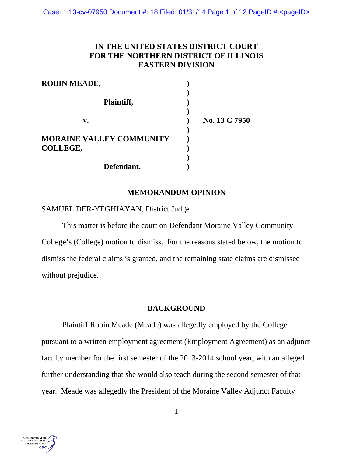# **IN THE UNITED STATES DISTRICT COURT FOR THE NORTHERN DISTRICT OF ILLINOIS EASTERN DIVISION**

| <b>ROBIN MEADE,</b>             |               |
|---------------------------------|---------------|
| Plaintiff,                      |               |
| v.                              | No. 13 C 7950 |
| <b>MORAINE VALLEY COMMUNITY</b> |               |
| COLLEGE,                        |               |
|                                 |               |
| Defendant.                      |               |

## **MEMORANDUM OPINION**

## SAMUEL DER-YEGHIAYAN, District Judge

This matter is before the court on Defendant Moraine Valley Community College's (College) motion to dismiss. For the reasons stated below, the motion to dismiss the federal claims is granted, and the remaining state claims are dismissed without prejudice.

### **BACKGROUND**

Plaintiff Robin Meade (Meade) was allegedly employed by the College pursuant to a written employment agreement (Employment Agreement) as an adjunct faculty member for the first semester of the 2013-2014 school year, with an alleged further understanding that she would also teach during the second semester of that year. Meade was allegedly the President of the Moraine Valley Adjunct Faculty

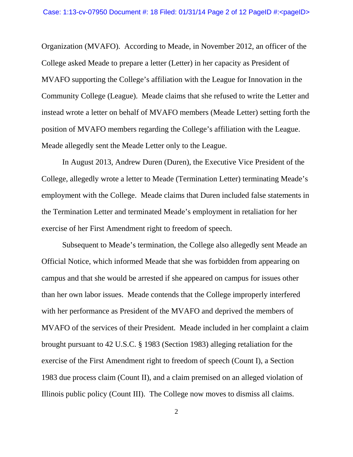Organization (MVAFO). According to Meade, in November 2012, an officer of the College asked Meade to prepare a letter (Letter) in her capacity as President of MVAFO supporting the College's affiliation with the League for Innovation in the Community College (League). Meade claims that she refused to write the Letter and instead wrote a letter on behalf of MVAFO members (Meade Letter) setting forth the position of MVAFO members regarding the College's affiliation with the League. Meade allegedly sent the Meade Letter only to the League.

In August 2013, Andrew Duren (Duren), the Executive Vice President of the College, allegedly wrote a letter to Meade (Termination Letter) terminating Meade's employment with the College. Meade claims that Duren included false statements in the Termination Letter and terminated Meade's employment in retaliation for her exercise of her First Amendment right to freedom of speech.

Subsequent to Meade's termination, the College also allegedly sent Meade an Official Notice, which informed Meade that she was forbidden from appearing on campus and that she would be arrested if she appeared on campus for issues other than her own labor issues. Meade contends that the College improperly interfered with her performance as President of the MVAFO and deprived the members of MVAFO of the services of their President. Meade included in her complaint a claim brought pursuant to 42 U.S.C. § 1983 (Section 1983) alleging retaliation for the exercise of the First Amendment right to freedom of speech (Count I), a Section 1983 due process claim (Count II), and a claim premised on an alleged violation of Illinois public policy (Count III). The College now moves to dismiss all claims.

2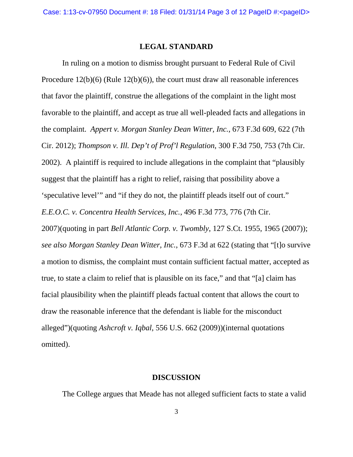#### **LEGAL STANDARD**

In ruling on a motion to dismiss brought pursuant to Federal Rule of Civil Procedure 12(b)(6) (Rule 12(b)(6)), the court must draw all reasonable inferences that favor the plaintiff, construe the allegations of the complaint in the light most favorable to the plaintiff, and accept as true all well-pleaded facts and allegations in the complaint. *Appert v. Morgan Stanley Dean Witter, Inc.*, 673 F.3d 609, 622 (7th Cir. 2012); *Thompson v. Ill. Dep't of Prof'l Regulation*, 300 F.3d 750, 753 (7th Cir. 2002). A plaintiff is required to include allegations in the complaint that "plausibly suggest that the plaintiff has a right to relief, raising that possibility above a 'speculative level'" and "if they do not, the plaintiff pleads itself out of court." *E.E.O.C. v. Concentra Health Services, Inc.*, 496 F.3d 773, 776 (7th Cir. 2007)(quoting in part *Bell Atlantic Corp. v. Twombly*, 127 S.Ct. 1955, 1965 (2007)); *see also Morgan Stanley Dean Witter, Inc.*, 673 F.3d at 622 (stating that "[t]o survive a motion to dismiss, the complaint must contain sufficient factual matter, accepted as true, to state a claim to relief that is plausible on its face," and that "[a] claim has facial plausibility when the plaintiff pleads factual content that allows the court to draw the reasonable inference that the defendant is liable for the misconduct alleged")(quoting *Ashcroft v. Iqbal*, 556 U.S. 662 (2009))(internal quotations omitted).

#### **DISCUSSION**

The College argues that Meade has not alleged sufficient facts to state a valid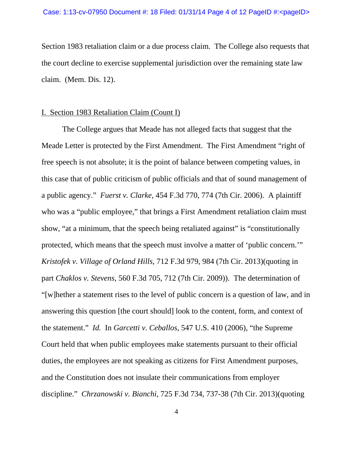Section 1983 retaliation claim or a due process claim. The College also requests that the court decline to exercise supplemental jurisdiction over the remaining state law claim. (Mem. Dis. 12).

### I. Section 1983 Retaliation Claim (Count I)

The College argues that Meade has not alleged facts that suggest that the Meade Letter is protected by the First Amendment. The First Amendment "right of free speech is not absolute; it is the point of balance between competing values, in this case that of public criticism of public officials and that of sound management of a public agency." *Fuerst v. Clarke*, 454 F.3d 770, 774 (7th Cir. 2006). A plaintiff who was a "public employee," that brings a First Amendment retaliation claim must show, "at a minimum, that the speech being retaliated against" is "constitutionally protected, which means that the speech must involve a matter of 'public concern.'" *Kristofek v. Village of Orland Hills*, 712 F.3d 979, 984 (7th Cir. 2013)(quoting in part *Chaklos v. Stevens*, 560 F.3d 705, 712 (7th Cir. 2009)). The determination of "[w]hether a statement rises to the level of public concern is a question of law, and in answering this question [the court should] look to the content, form, and context of the statement." *Id.* In *Garcetti v. Ceballos*, 547 U.S. 410 (2006), "the Supreme Court held that when public employees make statements pursuant to their official duties, the employees are not speaking as citizens for First Amendment purposes, and the Constitution does not insulate their communications from employer discipline." *Chrzanowski v. Bianchi*, 725 F.3d 734, 737-38 (7th Cir. 2013)(quoting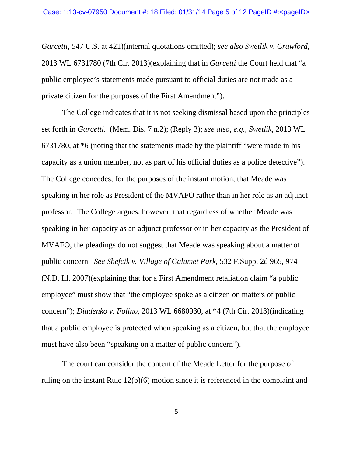*Garcetti*, 547 U.S. at 421)(internal quotations omitted); *see also Swetlik v. Crawford*, 2013 WL 6731780 (7th Cir. 2013)(explaining that in *Garcetti* the Court held that "a public employee's statements made pursuant to official duties are not made as a private citizen for the purposes of the First Amendment").

The College indicates that it is not seeking dismissal based upon the principles set forth in *Garcetti*. (Mem. Dis. 7 n.2); (Reply 3); *see also, e.g., Swetlik*, 2013 WL 6731780, at \*6 (noting that the statements made by the plaintiff "were made in his capacity as a union member, not as part of his official duties as a police detective"). The College concedes, for the purposes of the instant motion, that Meade was speaking in her role as President of the MVAFO rather than in her role as an adjunct professor. The College argues, however, that regardless of whether Meade was speaking in her capacity as an adjunct professor or in her capacity as the President of MVAFO, the pleadings do not suggest that Meade was speaking about a matter of public concern. *See Shefcik v. Village of Calumet Park*, 532 F.Supp. 2d 965, 974 (N.D. Ill. 2007)(explaining that for a First Amendment retaliation claim "a public employee" must show that "the employee spoke as a citizen on matters of public concern"); *Diadenko v. Folino*, 2013 WL 6680930, at \*4 (7th Cir. 2013)(indicating that a public employee is protected when speaking as a citizen, but that the employee must have also been "speaking on a matter of public concern").

The court can consider the content of the Meade Letter for the purpose of ruling on the instant Rule 12(b)(6) motion since it is referenced in the complaint and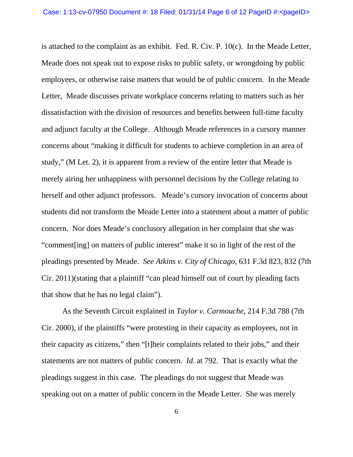is attached to the complaint as an exhibit. Fed. R. Civ. P. 10(c). In the Meade Letter, Meade does not speak out to expose risks to public safety, or wrongdoing by public employees, or otherwise raise matters that would be of public concern. In the Meade Letter, Meade discusses private workplace concerns relating to matters such as her dissatisfaction with the division of resources and benefits between full-time faculty and adjunct faculty at the College. Although Meade references in a cursory manner concerns about "making it difficult for students to achieve completion in an area of study," (M Let. 2), it is apparent from a review of the entire letter that Meade is merely airing her unhappiness with personnel decisions by the College relating to herself and other adjunct professors. Meade's cursory invocation of concerns about students did not transform the Meade Letter into a statement about a matter of public concern. Nor does Meade's conclusory allegation in her complaint that she was "comment[ing] on matters of public interest" make it so in light of the rest of the pleadings presented by Meade. *See Atkins v. City of Chicago*, 631 F.3d 823, 832 (7th Cir. 2011)(stating that a plaintiff "can plead himself out of court by pleading facts that show that he has no legal claim").

As the Seventh Circuit explained in *Taylor v. Carmouche*, 214 F.3d 788 (7th Cir. 2000), if the plaintiffs "were protesting in their capacity as employees, not in their capacity as citizens," then "[t]heir complaints related to their jobs," and their statements are not matters of public concern. *Id.* at 792. That is exactly what the pleadings suggest in this case. The pleadings do not suggest that Meade was speaking out on a matter of public concern in the Meade Letter. She was merely

6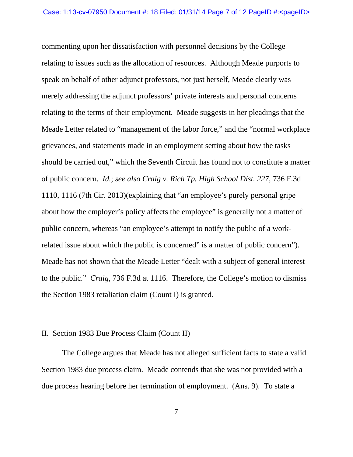commenting upon her dissatisfaction with personnel decisions by the College relating to issues such as the allocation of resources. Although Meade purports to speak on behalf of other adjunct professors, not just herself, Meade clearly was merely addressing the adjunct professors' private interests and personal concerns relating to the terms of their employment. Meade suggests in her pleadings that the Meade Letter related to "management of the labor force," and the "normal workplace grievances, and statements made in an employment setting about how the tasks should be carried out," which the Seventh Circuit has found not to constitute a matter of public concern. *Id.*; *see also Craig v. Rich Tp. High School Dist. 227*, 736 F.3d 1110, 1116 (7th Cir. 2013)(explaining that "an employee's purely personal gripe about how the employer's policy affects the employee" is generally not a matter of public concern, whereas "an employee's attempt to notify the public of a workrelated issue about which the public is concerned" is a matter of public concern"). Meade has not shown that the Meade Letter "dealt with a subject of general interest to the public." *Craig*, 736 F.3d at 1116. Therefore, the College's motion to dismiss the Section 1983 retaliation claim (Count I) is granted.

### II. Section 1983 Due Process Claim (Count II)

The College argues that Meade has not alleged sufficient facts to state a valid Section 1983 due process claim. Meade contends that she was not provided with a due process hearing before her termination of employment. (Ans. 9). To state a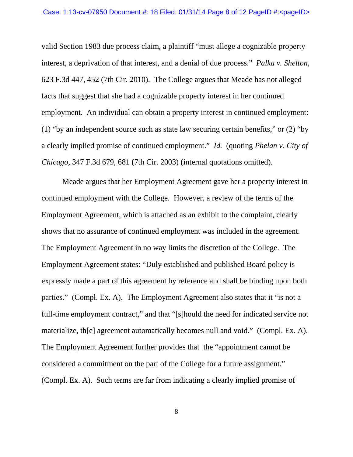valid Section 1983 due process claim, a plaintiff "must allege a cognizable property interest, a deprivation of that interest, and a denial of due process." *Palka v. Shelton*, 623 F.3d 447, 452 (7th Cir. 2010). The College argues that Meade has not alleged facts that suggest that she had a cognizable property interest in her continued employment. An individual can obtain a property interest in continued employment: (1) "by an independent source such as state law securing certain benefits," or (2) "by a clearly implied promise of continued employment." *Id.* (quoting *Phelan v. City of Chicago*, 347 F.3d 679, 681 (7th Cir. 2003) (internal quotations omitted).

Meade argues that her Employment Agreement gave her a property interest in continued employment with the College. However, a review of the terms of the Employment Agreement, which is attached as an exhibit to the complaint, clearly shows that no assurance of continued employment was included in the agreement. The Employment Agreement in no way limits the discretion of the College. The Employment Agreement states: "Duly established and published Board policy is expressly made a part of this agreement by reference and shall be binding upon both parties." (Compl. Ex. A). The Employment Agreement also states that it "is not a full-time employment contract," and that "[s]hould the need for indicated service not materialize, th[e] agreement automatically becomes null and void." (Compl. Ex. A). The Employment Agreement further provides that the "appointment cannot be considered a commitment on the part of the College for a future assignment." (Compl. Ex. A). Such terms are far from indicating a clearly implied promise of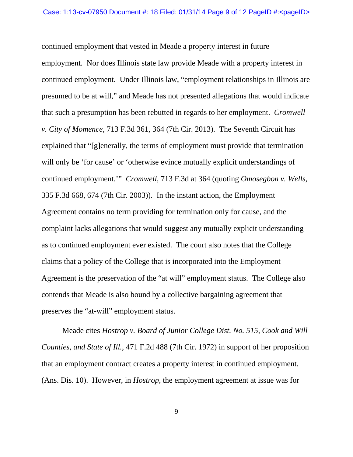continued employment that vested in Meade a property interest in future employment. Nor does Illinois state law provide Meade with a property interest in continued employment. Under Illinois law, "employment relationships in Illinois are presumed to be at will," and Meade has not presented allegations that would indicate that such a presumption has been rebutted in regards to her employment. *Cromwell v. City of Momence*, 713 F.3d 361, 364 (7th Cir. 2013). The Seventh Circuit has explained that "[g]enerally, the terms of employment must provide that termination will only be 'for cause' or 'otherwise evince mutually explicit understandings of continued employment.'" *Cromwell*, 713 F.3d at 364 (quoting *Omosegbon v. Wells*, 335 F.3d 668, 674 (7th Cir. 2003)). In the instant action, the Employment Agreement contains no term providing for termination only for cause, and the complaint lacks allegations that would suggest any mutually explicit understanding as to continued employment ever existed. The court also notes that the College claims that a policy of the College that is incorporated into the Employment Agreement is the preservation of the "at will" employment status. The College also contends that Meade is also bound by a collective bargaining agreement that preserves the "at-will" employment status.

Meade cites *Hostrop v. Board of Junior College Dist. No. 515, Cook and Will Counties, and State of Ill.*, 471 F.2d 488 (7th Cir. 1972) in support of her proposition that an employment contract creates a property interest in continued employment. (Ans. Dis. 10). However, in *Hostrop*, the employment agreement at issue was for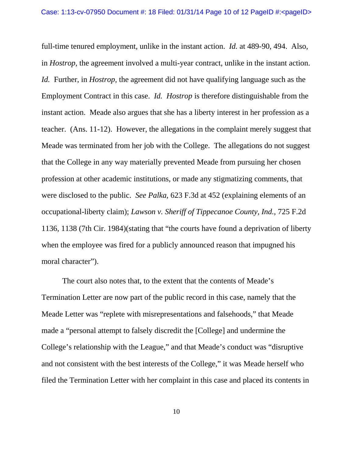full-time tenured employment, unlike in the instant action. *Id.* at 489-90, 494. Also, in *Hostrop*, the agreement involved a multi-year contract, unlike in the instant action. *Id.* Further, in *Hostrop,* the agreement did not have qualifying language such as the Employment Contract in this case. *Id. Hostrop* is therefore distinguishable from the instant action. Meade also argues that she has a liberty interest in her profession as a teacher. (Ans. 11-12). However, the allegations in the complaint merely suggest that Meade was terminated from her job with the College. The allegations do not suggest that the College in any way materially prevented Meade from pursuing her chosen profession at other academic institutions, or made any stigmatizing comments, that were disclosed to the public. *See Palka*, 623 F.3d at 452 (explaining elements of an occupational-liberty claim); *Lawson v. Sheriff of Tippecanoe County, Ind.*, 725 F.2d 1136, 1138 (7th Cir. 1984)(stating that "the courts have found a deprivation of liberty when the employee was fired for a publicly announced reason that impugned his moral character").

The court also notes that, to the extent that the contents of Meade's Termination Letter are now part of the public record in this case, namely that the Meade Letter was "replete with misrepresentations and falsehoods," that Meade made a "personal attempt to falsely discredit the [College] and undermine the College's relationship with the League," and that Meade's conduct was "disruptive and not consistent with the best interests of the College," it was Meade herself who filed the Termination Letter with her complaint in this case and placed its contents in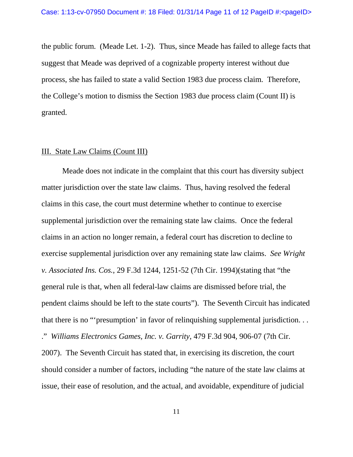the public forum. (Meade Let. 1-2). Thus, since Meade has failed to allege facts that suggest that Meade was deprived of a cognizable property interest without due process, she has failed to state a valid Section 1983 due process claim. Therefore, the College's motion to dismiss the Section 1983 due process claim (Count II) is granted.

#### III. State Law Claims (Count III)

Meade does not indicate in the complaint that this court has diversity subject matter jurisdiction over the state law claims. Thus, having resolved the federal claims in this case, the court must determine whether to continue to exercise supplemental jurisdiction over the remaining state law claims. Once the federal claims in an action no longer remain, a federal court has discretion to decline to exercise supplemental jurisdiction over any remaining state law claims. *See Wright v. Associated Ins. Cos.*, 29 F.3d 1244, 1251-52 (7th Cir. 1994)(stating that "the general rule is that, when all federal-law claims are dismissed before trial, the pendent claims should be left to the state courts"). The Seventh Circuit has indicated that there is no "'presumption' in favor of relinquishing supplemental jurisdiction. . . ." *Williams Electronics Games, Inc. v. Garrity*, 479 F.3d 904, 906-07 (7th Cir. 2007). The Seventh Circuit has stated that, in exercising its discretion, the court should consider a number of factors, including "the nature of the state law claims at issue, their ease of resolution, and the actual, and avoidable, expenditure of judicial